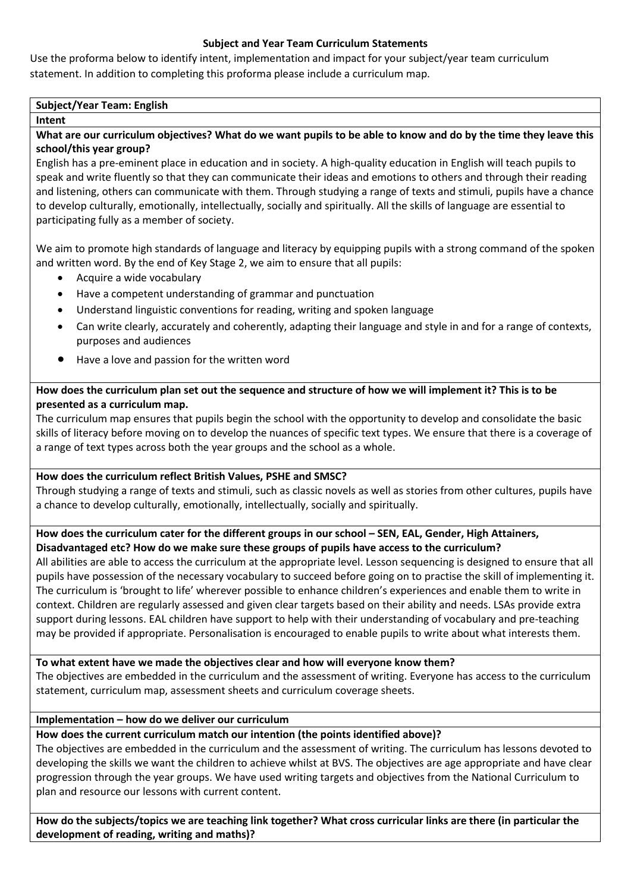## **Subject and Year Team Curriculum Statements**

Use the proforma below to identify intent, implementation and impact for your subject/year team curriculum statement. In addition to completing this proforma please include a curriculum map.

## **Subject/Year Team: English**

#### **Intent**

**What are our curriculum objectives? What do we want pupils to be able to know and do by the time they leave this school/this year group?**

English has a pre-eminent place in education and in society. A high-quality education in English will teach pupils to speak and write fluently so that they can communicate their ideas and emotions to others and through their reading and listening, others can communicate with them. Through studying a range of texts and stimuli, pupils have a chance to develop culturally, emotionally, intellectually, socially and spiritually. All the skills of language are essential to participating fully as a member of society.

We aim to promote high standards of language and literacy by equipping pupils with a strong command of the spoken and written word. By the end of Key Stage 2, we aim to ensure that all pupils:

- Acquire a wide vocabulary
- Have a competent understanding of grammar and punctuation
- Understand linguistic conventions for reading, writing and spoken language
- Can write clearly, accurately and coherently, adapting their language and style in and for a range of contexts, purposes and audiences
- Have a love and passion for the written word

## **How does the curriculum plan set out the sequence and structure of how we will implement it? This is to be presented as a curriculum map.**

The curriculum map ensures that pupils begin the school with the opportunity to develop and consolidate the basic skills of literacy before moving on to develop the nuances of specific text types. We ensure that there is a coverage of a range of text types across both the year groups and the school as a whole.

## **How does the curriculum reflect British Values, PSHE and SMSC?**

Through studying a range of texts and stimuli, such as classic novels as well as stories from other cultures, pupils have a chance to develop culturally, emotionally, intellectually, socially and spiritually.

## **How does the curriculum cater for the different groups in our school – SEN, EAL, Gender, High Attainers, Disadvantaged etc? How do we make sure these groups of pupils have access to the curriculum?**

All abilities are able to access the curriculum at the appropriate level. Lesson sequencing is designed to ensure that all pupils have possession of the necessary vocabulary to succeed before going on to practise the skill of implementing it. The curriculum is 'brought to life' wherever possible to enhance children's experiences and enable them to write in context. Children are regularly assessed and given clear targets based on their ability and needs. LSAs provide extra support during lessons. EAL children have support to help with their understanding of vocabulary and pre-teaching may be provided if appropriate. Personalisation is encouraged to enable pupils to write about what interests them.

**To what extent have we made the objectives clear and how will everyone know them?**

The objectives are embedded in the curriculum and the assessment of writing. Everyone has access to the curriculum statement, curriculum map, assessment sheets and curriculum coverage sheets.

## **Implementation – how do we deliver our curriculum**

# **How does the current curriculum match our intention (the points identified above)?**

The objectives are embedded in the curriculum and the assessment of writing. The curriculum has lessons devoted to developing the skills we want the children to achieve whilst at BVS. The objectives are age appropriate and have clear progression through the year groups. We have used writing targets and objectives from the National Curriculum to plan and resource our lessons with current content.

**How do the subjects/topics we are teaching link together? What cross curricular links are there (in particular the development of reading, writing and maths)?**